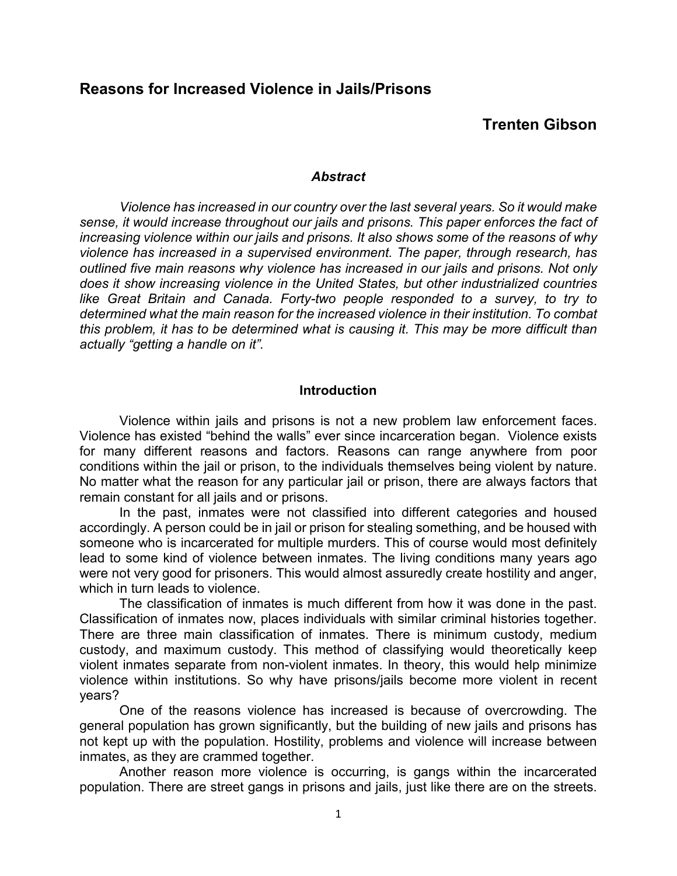## **Trenten Gibson**

### *Abstract*

*Violence has increased in our country over the last several years. So it would make sense, it would increase throughout our jails and prisons. This paper enforces the fact of increasing violence within our jails and prisons. It also shows some of the reasons of why violence has increased in a supervised environment. The paper, through research, has outlined five main reasons why violence has increased in our jails and prisons. Not only does it show increasing violence in the United States, but other industrialized countries*  like Great Britain and Canada. Forty-two people responded to a survey, to try to *determined what the main reason for the increased violence in their institution. To combat this problem, it has to be determined what is causing it. This may be more difficult than actually "getting a handle on it".* 

### **Introduction**

Violence within jails and prisons is not a new problem law enforcement faces. Violence has existed "behind the walls" ever since incarceration began. Violence exists for many different reasons and factors. Reasons can range anywhere from poor conditions within the jail or prison, to the individuals themselves being violent by nature. No matter what the reason for any particular jail or prison, there are always factors that remain constant for all jails and or prisons.

In the past, inmates were not classified into different categories and housed accordingly. A person could be in jail or prison for stealing something, and be housed with someone who is incarcerated for multiple murders. This of course would most definitely lead to some kind of violence between inmates. The living conditions many years ago were not very good for prisoners. This would almost assuredly create hostility and anger, which in turn leads to violence.

The classification of inmates is much different from how it was done in the past. Classification of inmates now, places individuals with similar criminal histories together. There are three main classification of inmates. There is minimum custody, medium custody, and maximum custody. This method of classifying would theoretically keep violent inmates separate from non-violent inmates. In theory, this would help minimize violence within institutions. So why have prisons/jails become more violent in recent years?

One of the reasons violence has increased is because of overcrowding. The general population has grown significantly, but the building of new jails and prisons has not kept up with the population. Hostility, problems and violence will increase between inmates, as they are crammed together.

Another reason more violence is occurring, is gangs within the incarcerated population. There are street gangs in prisons and jails, just like there are on the streets.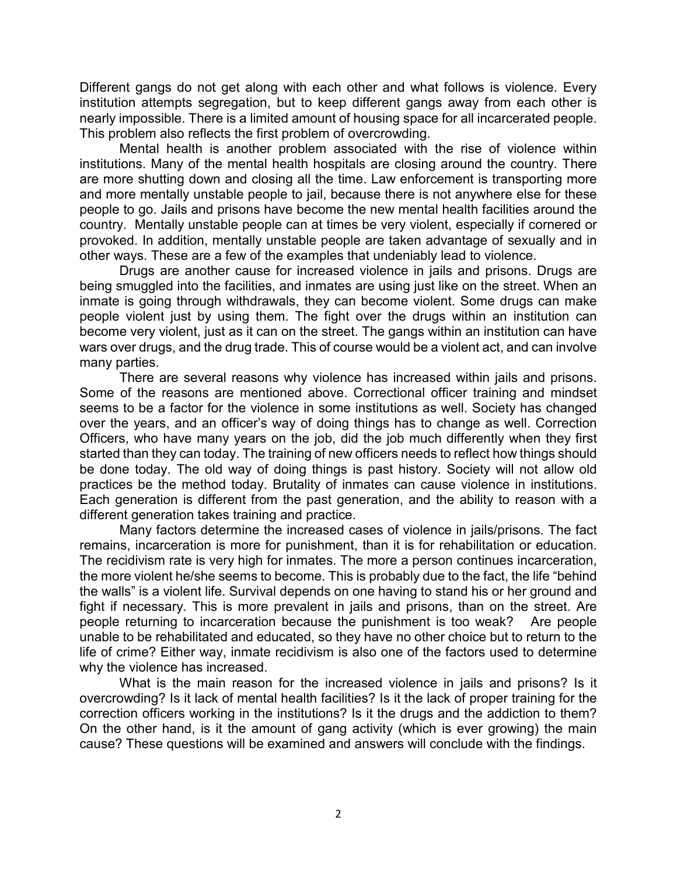Different gangs do not get along with each other and what follows is violence. Every institution attempts segregation, but to keep different gangs away from each other is nearly impossible. There is a limited amount of housing space for all incarcerated people. This problem also reflects the first problem of overcrowding.

Mental health is another problem associated with the rise of violence within institutions. Many of the mental health hospitals are closing around the country. There are more shutting down and closing all the time. Law enforcement is transporting more and more mentally unstable people to jail, because there is not anywhere else for these people to go. Jails and prisons have become the new mental health facilities around the country. Mentally unstable people can at times be very violent, especially if cornered or provoked. In addition, mentally unstable people are taken advantage of sexually and in other ways. These are a few of the examples that undeniably lead to violence.

Drugs are another cause for increased violence in jails and prisons. Drugs are being smuggled into the facilities, and inmates are using just like on the street. When an inmate is going through withdrawals, they can become violent. Some drugs can make people violent just by using them. The fight over the drugs within an institution can become very violent, just as it can on the street. The gangs within an institution can have wars over drugs, and the drug trade. This of course would be a violent act, and can involve many parties.

There are several reasons why violence has increased within jails and prisons. Some of the reasons are mentioned above. Correctional officer training and mindset seems to be a factor for the violence in some institutions as well. Society has changed over the years, and an officer's way of doing things has to change as well. Correction Officers, who have many years on the job, did the job much differently when they first started than they can today. The training of new officers needs to reflect how things should be done today. The old way of doing things is past history. Society will not allow old practices be the method today. Brutality of inmates can cause violence in institutions. Each generation is different from the past generation, and the ability to reason with a different generation takes training and practice.

Many factors determine the increased cases of violence in jails/prisons. The fact remains, incarceration is more for punishment, than it is for rehabilitation or education. The recidivism rate is very high for inmates. The more a person continues incarceration, the more violent he/she seems to become. This is probably due to the fact, the life "behind the walls" is a violent life. Survival depends on one having to stand his or her ground and fight if necessary. This is more prevalent in jails and prisons, than on the street. Are people returning to incarceration because the punishment is too weak? Are people unable to be rehabilitated and educated, so they have no other choice but to return to the life of crime? Either way, inmate recidivism is also one of the factors used to determine why the violence has increased.

What is the main reason for the increased violence in jails and prisons? Is it overcrowding? Is it lack of mental health facilities? Is it the lack of proper training for the correction officers working in the institutions? Is it the drugs and the addiction to them? On the other hand, is it the amount of gang activity (which is ever growing) the main cause? These questions will be examined and answers will conclude with the findings.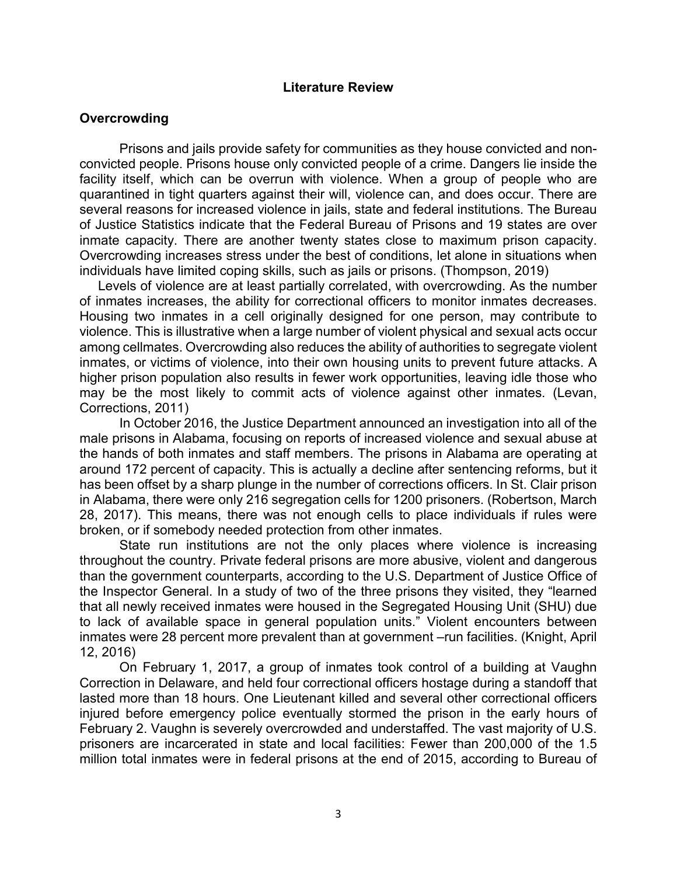### **Literature Review**

## **Overcrowding**

Prisons and jails provide safety for communities as they house convicted and nonconvicted people. Prisons house only convicted people of a crime. Dangers lie inside the facility itself, which can be overrun with violence. When a group of people who are quarantined in tight quarters against their will, violence can, and does occur. There are several reasons for increased violence in jails, state and federal institutions. The Bureau of Justice Statistics indicate that the Federal Bureau of Prisons and 19 states are over inmate capacity. There are another twenty states close to maximum prison capacity. Overcrowding increases stress under the best of conditions, let alone in situations when individuals have limited coping skills, such as jails or prisons. (Thompson, 2019)

 Levels of violence are at least partially correlated, with overcrowding. As the number of inmates increases, the ability for correctional officers to monitor inmates decreases. Housing two inmates in a cell originally designed for one person, may contribute to violence. This is illustrative when a large number of violent physical and sexual acts occur among cellmates. Overcrowding also reduces the ability of authorities to segregate violent inmates, or victims of violence, into their own housing units to prevent future attacks. A higher prison population also results in fewer work opportunities, leaving idle those who may be the most likely to commit acts of violence against other inmates. (Levan, Corrections, 2011)

In October 2016, the Justice Department announced an investigation into all of the male prisons in Alabama, focusing on reports of increased violence and sexual abuse at the hands of both inmates and staff members. The prisons in Alabama are operating at around 172 percent of capacity. This is actually a decline after sentencing reforms, but it has been offset by a sharp plunge in the number of corrections officers. In St. Clair prison in Alabama, there were only 216 segregation cells for 1200 prisoners. (Robertson, March 28, 2017). This means, there was not enough cells to place individuals if rules were broken, or if somebody needed protection from other inmates.

State run institutions are not the only places where violence is increasing throughout the country. Private federal prisons are more abusive, violent and dangerous than the government counterparts, according to the U.S. Department of Justice Office of the Inspector General. In a study of two of the three prisons they visited, they "learned that all newly received inmates were housed in the Segregated Housing Unit (SHU) due to lack of available space in general population units." Violent encounters between inmates were 28 percent more prevalent than at government –run facilities. (Knight, April 12, 2016)

On February 1, 2017, a group of inmates took control of a building at Vaughn Correction in Delaware, and held four correctional officers hostage during a standoff that lasted more than 18 hours. One Lieutenant killed and several other correctional officers injured before emergency police eventually stormed the prison in the early hours of February 2. Vaughn is severely overcrowded and understaffed. The vast majority of U.S. prisoners are incarcerated in state and local facilities: Fewer than 200,000 of the 1.5 million total inmates were in federal prisons at the end of 2015, according to Bureau of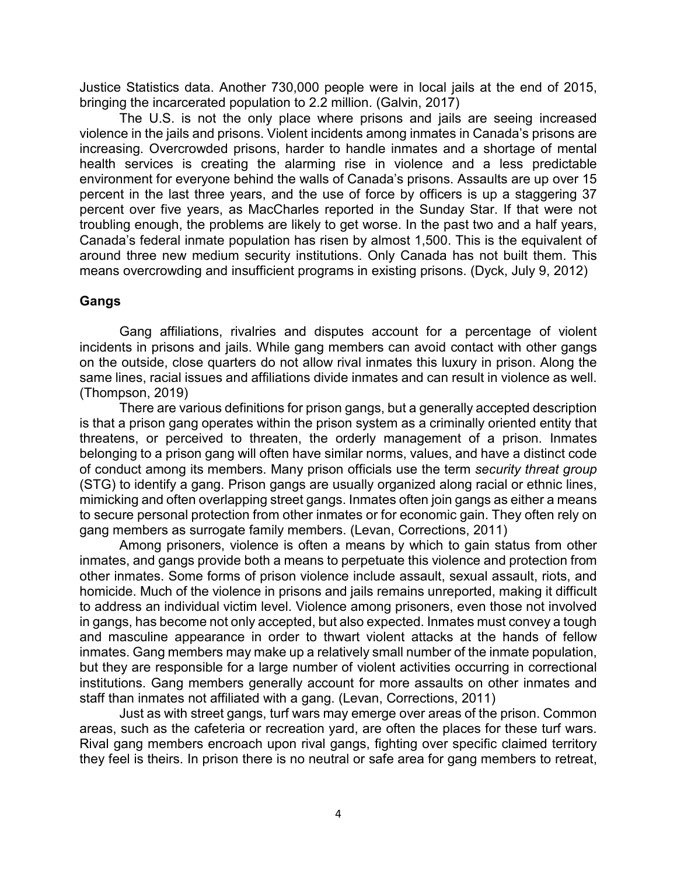Justice Statistics data. Another 730,000 people were in local jails at the end of 2015, bringing the incarcerated population to 2.2 million. (Galvin, 2017)

The U.S. is not the only place where prisons and jails are seeing increased violence in the jails and prisons. Violent incidents among inmates in Canada's prisons are increasing. Overcrowded prisons, harder to handle inmates and a shortage of mental health services is creating the alarming rise in violence and a less predictable environment for everyone behind the walls of Canada's prisons. Assaults are up over 15 percent in the last three years, and the use of force by officers is up a staggering 37 percent over five years, as MacCharles reported in the Sunday Star. If that were not troubling enough, the problems are likely to get worse. In the past two and a half years, Canada's federal inmate population has risen by almost 1,500. This is the equivalent of around three new medium security institutions. Only Canada has not built them. This means overcrowding and insufficient programs in existing prisons. (Dyck, July 9, 2012)

## **Gangs**

Gang affiliations, rivalries and disputes account for a percentage of violent incidents in prisons and jails. While gang members can avoid contact with other gangs on the outside, close quarters do not allow rival inmates this luxury in prison. Along the same lines, racial issues and affiliations divide inmates and can result in violence as well. (Thompson, 2019)

There are various definitions for prison gangs, but a generally accepted description is that a prison gang operates within the prison system as a criminally oriented entity that threatens, or perceived to threaten, the orderly management of a prison. Inmates belonging to a prison gang will often have similar norms, values, and have a distinct code of conduct among its members. Many prison officials use the term *security threat group* (STG) to identify a gang. Prison gangs are usually organized along racial or ethnic lines, mimicking and often overlapping street gangs. Inmates often join gangs as either a means to secure personal protection from other inmates or for economic gain. They often rely on gang members as surrogate family members. (Levan, Corrections, 2011)

Among prisoners, violence is often a means by which to gain status from other inmates, and gangs provide both a means to perpetuate this violence and protection from other inmates. Some forms of prison violence include assault, sexual assault, riots, and homicide. Much of the violence in prisons and jails remains unreported, making it difficult to address an individual victim level. Violence among prisoners, even those not involved in gangs, has become not only accepted, but also expected. Inmates must convey a tough and masculine appearance in order to thwart violent attacks at the hands of fellow inmates. Gang members may make up a relatively small number of the inmate population, but they are responsible for a large number of violent activities occurring in correctional institutions. Gang members generally account for more assaults on other inmates and staff than inmates not affiliated with a gang. (Levan, Corrections, 2011)

Just as with street gangs, turf wars may emerge over areas of the prison. Common areas, such as the cafeteria or recreation yard, are often the places for these turf wars. Rival gang members encroach upon rival gangs, fighting over specific claimed territory they feel is theirs. In prison there is no neutral or safe area for gang members to retreat,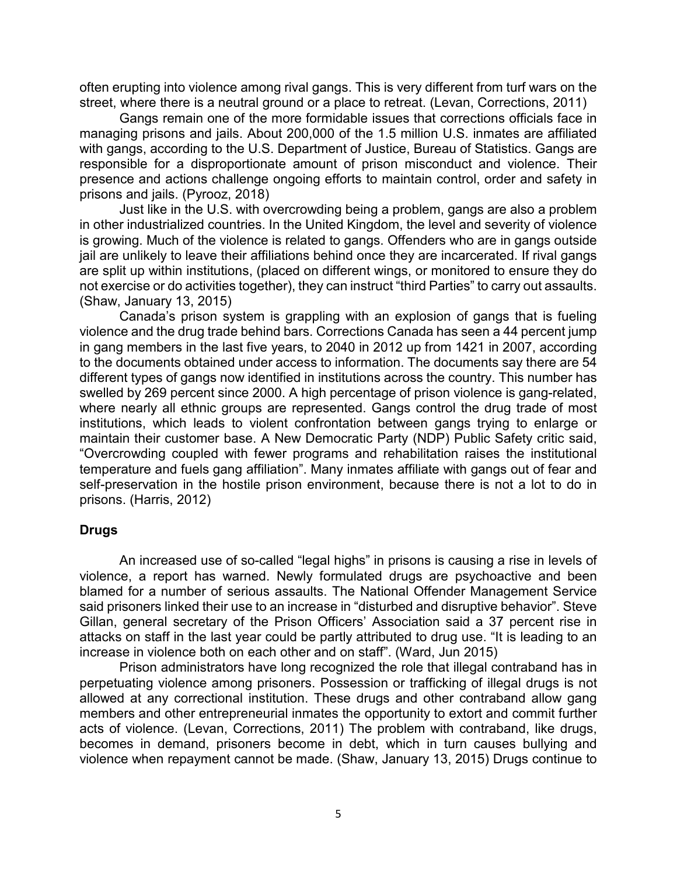often erupting into violence among rival gangs. This is very different from turf wars on the street, where there is a neutral ground or a place to retreat. (Levan, Corrections, 2011)

Gangs remain one of the more formidable issues that corrections officials face in managing prisons and jails. About 200,000 of the 1.5 million U.S. inmates are affiliated with gangs, according to the U.S. Department of Justice, Bureau of Statistics. Gangs are responsible for a disproportionate amount of prison misconduct and violence. Their presence and actions challenge ongoing efforts to maintain control, order and safety in prisons and jails. (Pyrooz, 2018)

Just like in the U.S. with overcrowding being a problem, gangs are also a problem in other industrialized countries. In the United Kingdom, the level and severity of violence is growing. Much of the violence is related to gangs. Offenders who are in gangs outside jail are unlikely to leave their affiliations behind once they are incarcerated. If rival gangs are split up within institutions, (placed on different wings, or monitored to ensure they do not exercise or do activities together), they can instruct "third Parties" to carry out assaults. (Shaw, January 13, 2015)

Canada's prison system is grappling with an explosion of gangs that is fueling violence and the drug trade behind bars. Corrections Canada has seen a 44 percent jump in gang members in the last five years, to 2040 in 2012 up from 1421 in 2007, according to the documents obtained under access to information. The documents say there are 54 different types of gangs now identified in institutions across the country. This number has swelled by 269 percent since 2000. A high percentage of prison violence is gang-related, where nearly all ethnic groups are represented. Gangs control the drug trade of most institutions, which leads to violent confrontation between gangs trying to enlarge or maintain their customer base. A New Democratic Party (NDP) Public Safety critic said, "Overcrowding coupled with fewer programs and rehabilitation raises the institutional temperature and fuels gang affiliation". Many inmates affiliate with gangs out of fear and self-preservation in the hostile prison environment, because there is not a lot to do in prisons. (Harris, 2012)

## **Drugs**

An increased use of so-called "legal highs" in prisons is causing a rise in levels of violence, a report has warned. Newly formulated drugs are psychoactive and been blamed for a number of serious assaults. The National Offender Management Service said prisoners linked their use to an increase in "disturbed and disruptive behavior". Steve Gillan, general secretary of the Prison Officers' Association said a 37 percent rise in attacks on staff in the last year could be partly attributed to drug use. "It is leading to an increase in violence both on each other and on staff". (Ward, Jun 2015)

Prison administrators have long recognized the role that illegal contraband has in perpetuating violence among prisoners. Possession or trafficking of illegal drugs is not allowed at any correctional institution. These drugs and other contraband allow gang members and other entrepreneurial inmates the opportunity to extort and commit further acts of violence. (Levan, Corrections, 2011) The problem with contraband, like drugs, becomes in demand, prisoners become in debt, which in turn causes bullying and violence when repayment cannot be made. (Shaw, January 13, 2015) Drugs continue to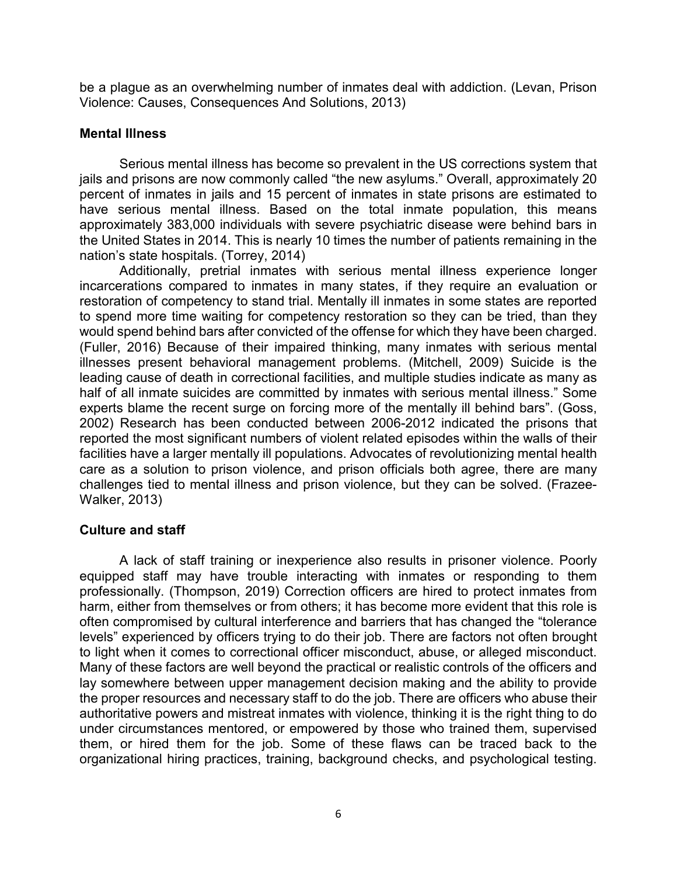be a plague as an overwhelming number of inmates deal with addiction. (Levan, Prison Violence: Causes, Consequences And Solutions, 2013)

## **Mental Illness**

Serious mental illness has become so prevalent in the US corrections system that jails and prisons are now commonly called "the new asylums." Overall, approximately 20 percent of inmates in jails and 15 percent of inmates in state prisons are estimated to have serious mental illness. Based on the total inmate population, this means approximately 383,000 individuals with severe psychiatric disease were behind bars in the United States in 2014. This is nearly 10 times the number of patients remaining in the nation's state hospitals. (Torrey, 2014)

Additionally, pretrial inmates with serious mental illness experience longer incarcerations compared to inmates in many states, if they require an evaluation or restoration of competency to stand trial. Mentally ill inmates in some states are reported to spend more time waiting for competency restoration so they can be tried, than they would spend behind bars after convicted of the offense for which they have been charged. (Fuller, 2016) Because of their impaired thinking, many inmates with serious mental illnesses present behavioral management problems. (Mitchell, 2009) Suicide is the leading cause of death in correctional facilities, and multiple studies indicate as many as half of all inmate suicides are committed by inmates with serious mental illness." Some experts blame the recent surge on forcing more of the mentally ill behind bars". (Goss, 2002) Research has been conducted between 2006-2012 indicated the prisons that reported the most significant numbers of violent related episodes within the walls of their facilities have a larger mentally ill populations. Advocates of revolutionizing mental health care as a solution to prison violence, and prison officials both agree, there are many challenges tied to mental illness and prison violence, but they can be solved. (Frazee-Walker, 2013)

## **Culture and staff**

A lack of staff training or inexperience also results in prisoner violence. Poorly equipped staff may have trouble interacting with inmates or responding to them professionally. (Thompson, 2019) Correction officers are hired to protect inmates from harm, either from themselves or from others; it has become more evident that this role is often compromised by cultural interference and barriers that has changed the "tolerance levels" experienced by officers trying to do their job. There are factors not often brought to light when it comes to correctional officer misconduct, abuse, or alleged misconduct. Many of these factors are well beyond the practical or realistic controls of the officers and lay somewhere between upper management decision making and the ability to provide the proper resources and necessary staff to do the job. There are officers who abuse their authoritative powers and mistreat inmates with violence, thinking it is the right thing to do under circumstances mentored, or empowered by those who trained them, supervised them, or hired them for the job. Some of these flaws can be traced back to the organizational hiring practices, training, background checks, and psychological testing.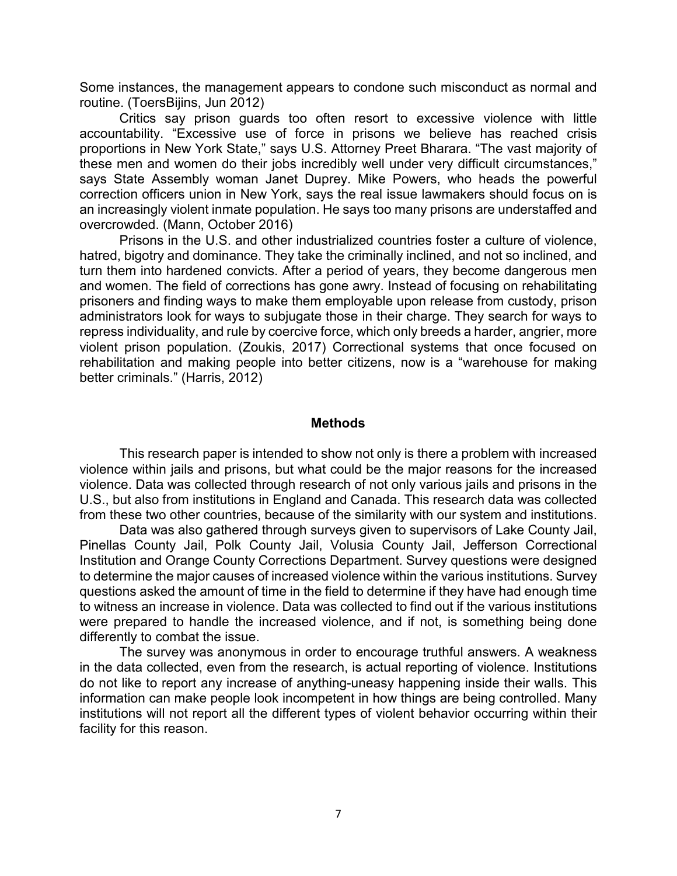Some instances, the management appears to condone such misconduct as normal and routine. (ToersBijins, Jun 2012)

Critics say prison guards too often resort to excessive violence with little accountability. "Excessive use of force in prisons we believe has reached crisis proportions in New York State," says U.S. Attorney Preet Bharara. "The vast majority of these men and women do their jobs incredibly well under very difficult circumstances," says State Assembly woman Janet Duprey. Mike Powers, who heads the powerful correction officers union in New York, says the real issue lawmakers should focus on is an increasingly violent inmate population. He says too many prisons are understaffed and overcrowded. (Mann, October 2016)

Prisons in the U.S. and other industrialized countries foster a culture of violence, hatred, bigotry and dominance. They take the criminally inclined, and not so inclined, and turn them into hardened convicts. After a period of years, they become dangerous men and women. The field of corrections has gone awry. Instead of focusing on rehabilitating prisoners and finding ways to make them employable upon release from custody, prison administrators look for ways to subjugate those in their charge. They search for ways to repress individuality, and rule by coercive force, which only breeds a harder, angrier, more violent prison population. (Zoukis, 2017) Correctional systems that once focused on rehabilitation and making people into better citizens, now is a "warehouse for making better criminals." (Harris, 2012)

#### **Methods**

This research paper is intended to show not only is there a problem with increased violence within jails and prisons, but what could be the major reasons for the increased violence. Data was collected through research of not only various jails and prisons in the U.S., but also from institutions in England and Canada. This research data was collected from these two other countries, because of the similarity with our system and institutions.

Data was also gathered through surveys given to supervisors of Lake County Jail, Pinellas County Jail, Polk County Jail, Volusia County Jail, Jefferson Correctional Institution and Orange County Corrections Department. Survey questions were designed to determine the major causes of increased violence within the various institutions. Survey questions asked the amount of time in the field to determine if they have had enough time to witness an increase in violence. Data was collected to find out if the various institutions were prepared to handle the increased violence, and if not, is something being done differently to combat the issue.

The survey was anonymous in order to encourage truthful answers. A weakness in the data collected, even from the research, is actual reporting of violence. Institutions do not like to report any increase of anything-uneasy happening inside their walls. This information can make people look incompetent in how things are being controlled. Many institutions will not report all the different types of violent behavior occurring within their facility for this reason.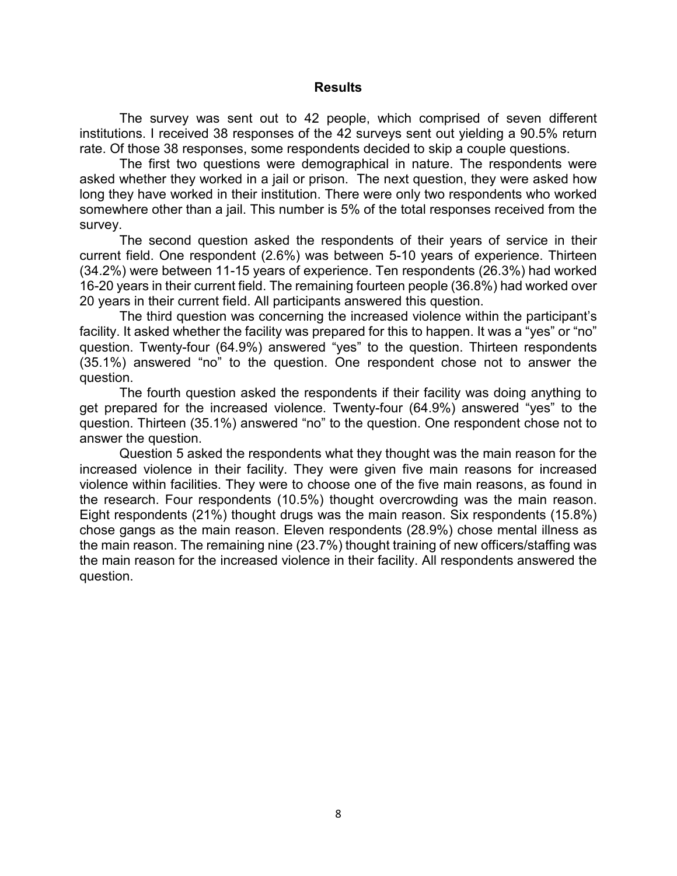### **Results**

The survey was sent out to 42 people, which comprised of seven different institutions. I received 38 responses of the 42 surveys sent out yielding a 90.5% return rate. Of those 38 responses, some respondents decided to skip a couple questions.

The first two questions were demographical in nature. The respondents were asked whether they worked in a jail or prison. The next question, they were asked how long they have worked in their institution. There were only two respondents who worked somewhere other than a jail. This number is 5% of the total responses received from the survey.

The second question asked the respondents of their years of service in their current field. One respondent (2.6%) was between 5-10 years of experience. Thirteen (34.2%) were between 11-15 years of experience. Ten respondents (26.3%) had worked 16-20 years in their current field. The remaining fourteen people (36.8%) had worked over 20 years in their current field. All participants answered this question.

The third question was concerning the increased violence within the participant's facility. It asked whether the facility was prepared for this to happen. It was a "yes" or "no" question. Twenty-four (64.9%) answered "yes" to the question. Thirteen respondents (35.1%) answered "no" to the question. One respondent chose not to answer the question.

The fourth question asked the respondents if their facility was doing anything to get prepared for the increased violence. Twenty-four (64.9%) answered "yes" to the question. Thirteen (35.1%) answered "no" to the question. One respondent chose not to answer the question.

Question 5 asked the respondents what they thought was the main reason for the increased violence in their facility. They were given five main reasons for increased violence within facilities. They were to choose one of the five main reasons, as found in the research. Four respondents (10.5%) thought overcrowding was the main reason. Eight respondents (21%) thought drugs was the main reason. Six respondents (15.8%) chose gangs as the main reason. Eleven respondents (28.9%) chose mental illness as the main reason. The remaining nine (23.7%) thought training of new officers/staffing was the main reason for the increased violence in their facility. All respondents answered the question.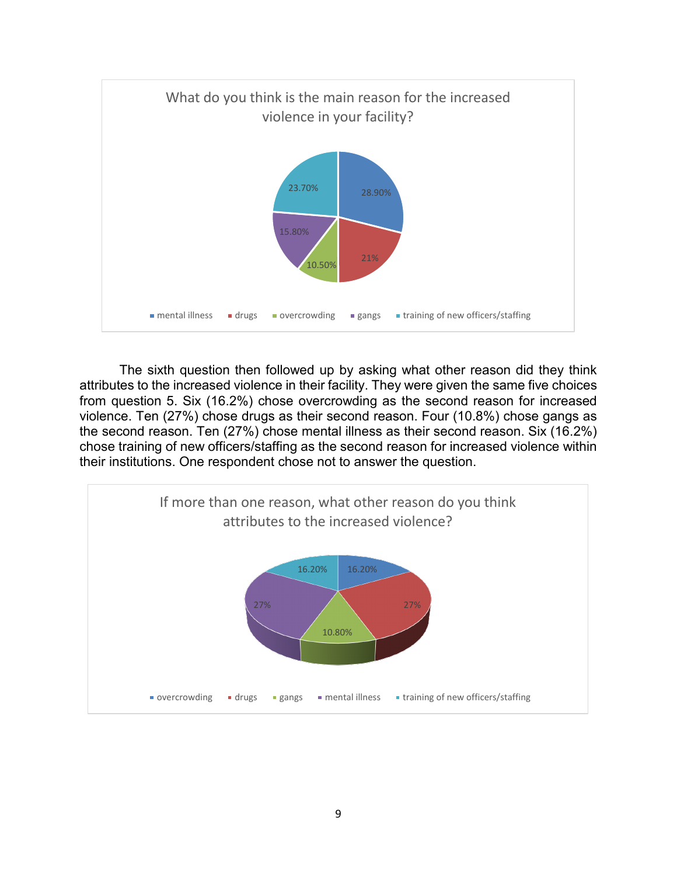

The sixth question then followed up by asking what other reason did they think attributes to the increased violence in their facility. They were given the same five choices from question 5. Six (16.2%) chose overcrowding as the second reason for increased violence. Ten (27%) chose drugs as their second reason. Four (10.8%) chose gangs as the second reason. Ten (27%) chose mental illness as their second reason. Six (16.2%) chose training of new officers/staffing as the second reason for increased violence within their institutions. One respondent chose not to answer the question.

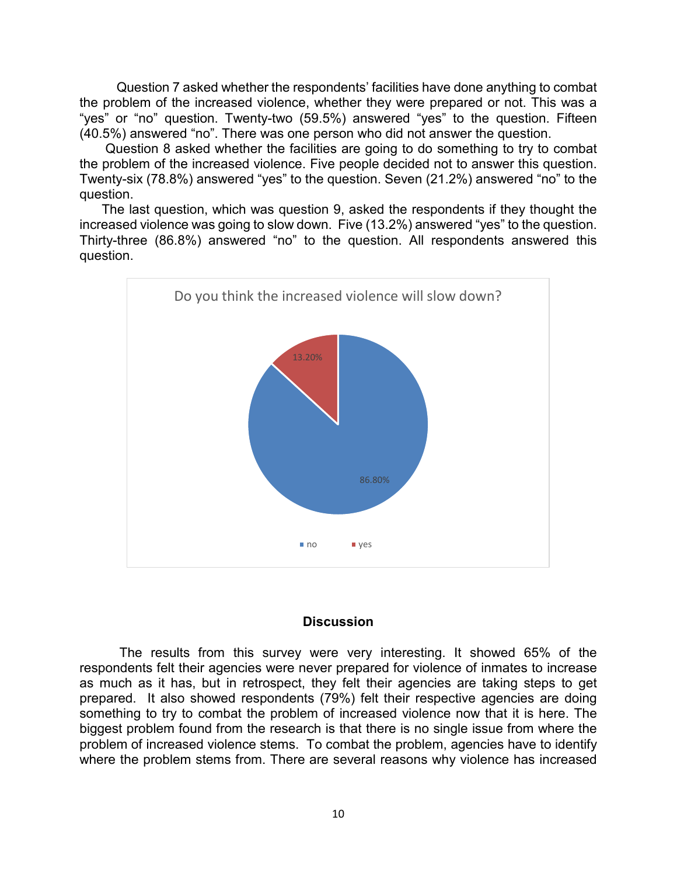Question 7 asked whether the respondents' facilities have done anything to combat the problem of the increased violence, whether they were prepared or not. This was a "yes" or "no" question. Twenty-two (59.5%) answered "yes" to the question. Fifteen (40.5%) answered "no". There was one person who did not answer the question.

 Question 8 asked whether the facilities are going to do something to try to combat the problem of the increased violence. Five people decided not to answer this question. Twenty-six (78.8%) answered "yes" to the question. Seven (21.2%) answered "no" to the question.

 The last question, which was question 9, asked the respondents if they thought the increased violence was going to slow down. Five (13.2%) answered "yes" to the question. Thirty-three (86.8%) answered "no" to the question. All respondents answered this question.



#### **Discussion**

The results from this survey were very interesting. It showed 65% of the respondents felt their agencies were never prepared for violence of inmates to increase as much as it has, but in retrospect, they felt their agencies are taking steps to get prepared. It also showed respondents (79%) felt their respective agencies are doing something to try to combat the problem of increased violence now that it is here. The biggest problem found from the research is that there is no single issue from where the problem of increased violence stems. To combat the problem, agencies have to identify where the problem stems from. There are several reasons why violence has increased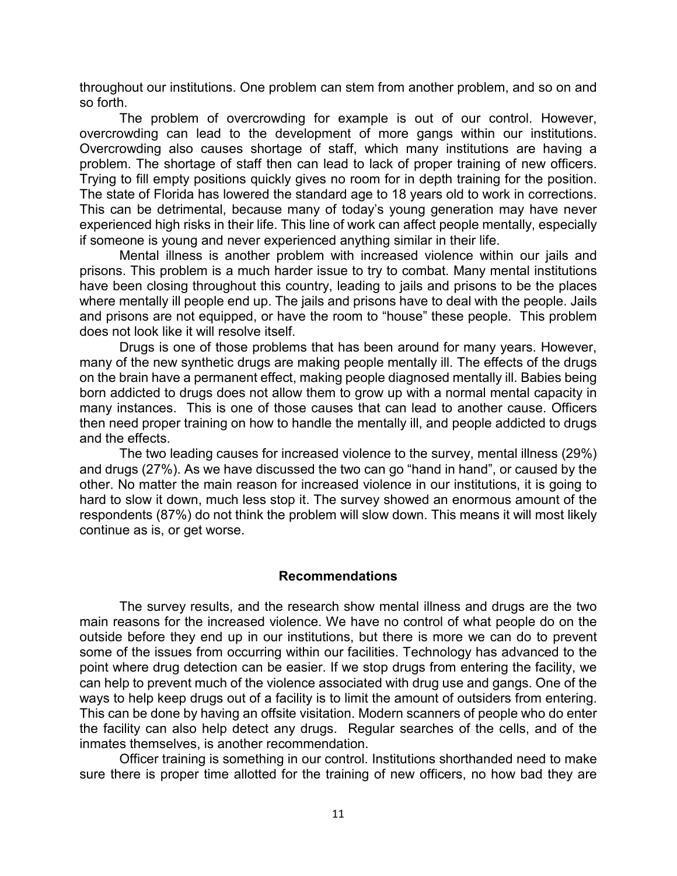throughout our institutions. One problem can stem from another problem, and so on and so forth.

The problem of overcrowding for example is out of our control. However, overcrowding can lead to the development of more gangs within our institutions. Overcrowding also causes shortage of staff, which many institutions are having a problem. The shortage of staff then can lead to lack of proper training of new officers. Trying to fill empty positions quickly gives no room for in depth training for the position. The state of Florida has lowered the standard age to 18 years old to work in corrections. This can be detrimental, because many of today's young generation may have never experienced high risks in their life. This line of work can affect people mentally, especially if someone is young and never experienced anything similar in their life.

Mental illness is another problem with increased violence within our jails and prisons. This problem is a much harder issue to try to combat. Many mental institutions have been closing throughout this country, leading to jails and prisons to be the places where mentally ill people end up. The jails and prisons have to deal with the people. Jails and prisons are not equipped, or have the room to "house" these people. This problem does not look like it will resolve itself.

Drugs is one of those problems that has been around for many years. However, many of the new synthetic drugs are making people mentally ill. The effects of the drugs on the brain have a permanent effect, making people diagnosed mentally ill. Babies being born addicted to drugs does not allow them to grow up with a normal mental capacity in many instances. This is one of those causes that can lead to another cause. Officers then need proper training on how to handle the mentally ill, and people addicted to drugs and the effects.

The two leading causes for increased violence to the survey, mental illness (29%) and drugs (27%). As we have discussed the two can go "hand in hand", or caused by the other. No matter the main reason for increased violence in our institutions, it is going to hard to slow it down, much less stop it. The survey showed an enormous amount of the respondents (87%) do not think the problem will slow down. This means it will most likely continue as is, or get worse.

#### **Recommendations**

The survey results, and the research show mental illness and drugs are the two main reasons for the increased violence. We have no control of what people do on the outside before they end up in our institutions, but there is more we can do to prevent some of the issues from occurring within our facilities. Technology has advanced to the point where drug detection can be easier. If we stop drugs from entering the facility, we can help to prevent much of the violence associated with drug use and gangs. One of the ways to help keep drugs out of a facility is to limit the amount of outsiders from entering. This can be done by having an offsite visitation. Modern scanners of people who do enter the facility can also help detect any drugs. Regular searches of the cells, and of the inmates themselves, is another recommendation.

Officer training is something in our control. Institutions shorthanded need to make sure there is proper time allotted for the training of new officers, no how bad they are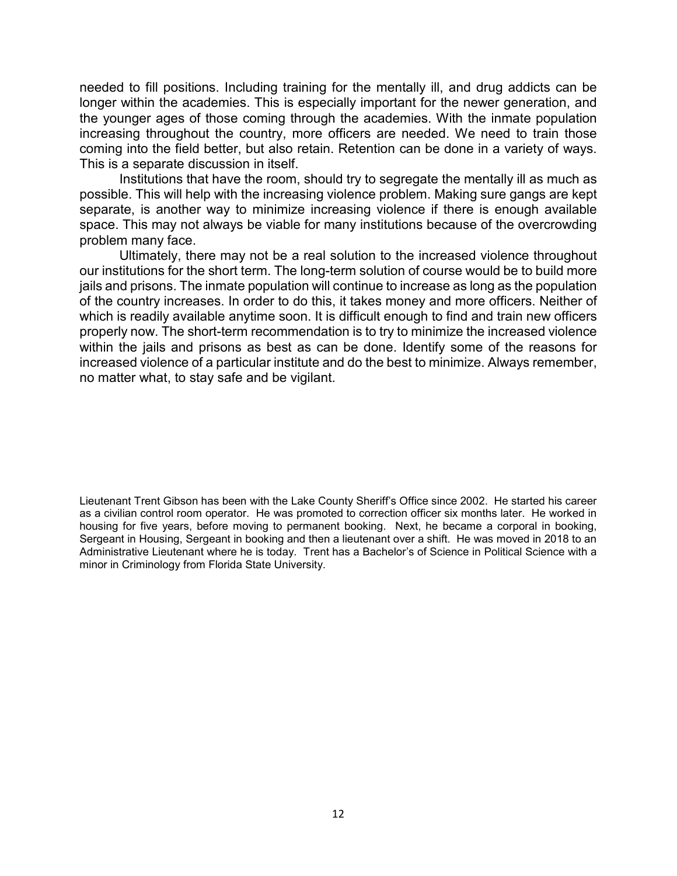needed to fill positions. Including training for the mentally ill, and drug addicts can be longer within the academies. This is especially important for the newer generation, and the younger ages of those coming through the academies. With the inmate population increasing throughout the country, more officers are needed. We need to train those coming into the field better, but also retain. Retention can be done in a variety of ways. This is a separate discussion in itself.

Institutions that have the room, should try to segregate the mentally ill as much as possible. This will help with the increasing violence problem. Making sure gangs are kept separate, is another way to minimize increasing violence if there is enough available space. This may not always be viable for many institutions because of the overcrowding problem many face.

Ultimately, there may not be a real solution to the increased violence throughout our institutions for the short term. The long-term solution of course would be to build more jails and prisons. The inmate population will continue to increase as long as the population of the country increases. In order to do this, it takes money and more officers. Neither of which is readily available anytime soon. It is difficult enough to find and train new officers properly now. The short-term recommendation is to try to minimize the increased violence within the jails and prisons as best as can be done. Identify some of the reasons for increased violence of a particular institute and do the best to minimize. Always remember, no matter what, to stay safe and be vigilant.

Lieutenant Trent Gibson has been with the Lake County Sheriff's Office since 2002. He started his career as a civilian control room operator. He was promoted to correction officer six months later. He worked in housing for five years, before moving to permanent booking. Next, he became a corporal in booking, Sergeant in Housing, Sergeant in booking and then a lieutenant over a shift. He was moved in 2018 to an Administrative Lieutenant where he is today. Trent has a Bachelor's of Science in Political Science with a minor in Criminology from Florida State University.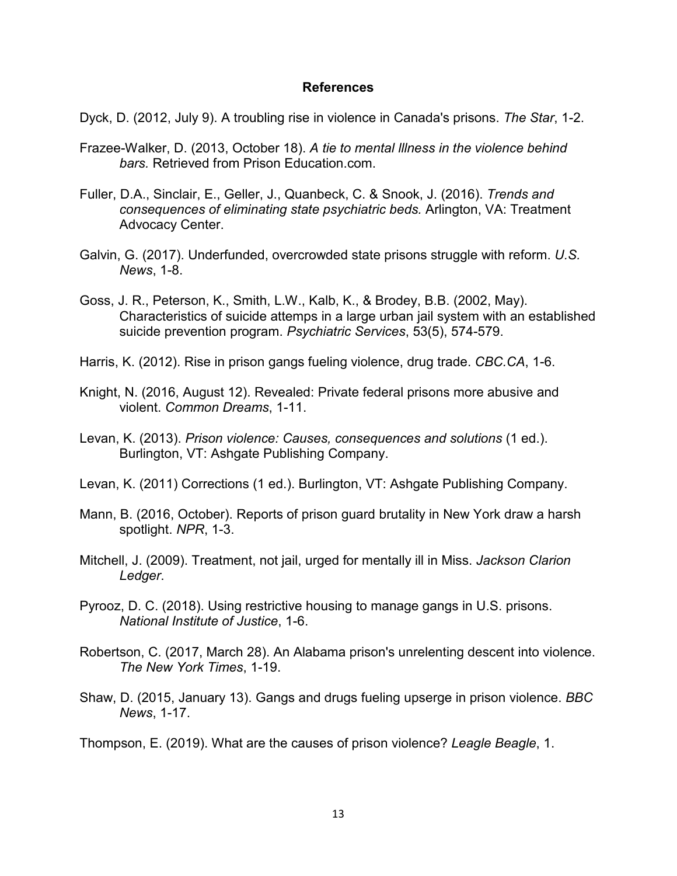### **References**

Dyck, D. (2012, July 9). A troubling rise in violence in Canada's prisons. *The Star*, 1-2.

- Frazee-Walker, D. (2013, October 18). *A tie to mental lllness in the violence behind bars.* Retrieved from Prison Education.com.
- Fuller, D.A., Sinclair, E., Geller, J., Quanbeck, C. & Snook, J. (2016). *Trends and consequences of eliminating state psychiatric beds.* Arlington, VA: Treatment Advocacy Center.
- Galvin, G. (2017). Underfunded, overcrowded state prisons struggle with reform. *U.S. News*, 1-8.
- Goss, J. R., Peterson, K., Smith, L.W., Kalb, K., & Brodey, B.B. (2002, May). Characteristics of suicide attemps in a large urban jail system with an established suicide prevention program. *Psychiatric Services*, 53(5), 574-579.
- Harris, K. (2012). Rise in prison gangs fueling violence, drug trade. *CBC.CA*, 1-6.
- Knight, N. (2016, August 12). Revealed: Private federal prisons more abusive and violent. *Common Dreams*, 1-11.
- Levan, K. (2013). *Prison violence: Causes, consequences and solutions* (1 ed.). Burlington, VT: Ashgate Publishing Company.
- Levan, K. (2011) Corrections (1 ed.). Burlington, VT: Ashgate Publishing Company.
- Mann, B. (2016, October). Reports of prison guard brutality in New York draw a harsh spotlight. *NPR*, 1-3.
- Mitchell, J. (2009). Treatment, not jail, urged for mentally ill in Miss. *Jackson Clarion Ledger*.
- Pyrooz, D. C. (2018). Using restrictive housing to manage gangs in U.S. prisons. *National Institute of Justice*, 1-6.
- Robertson, C. (2017, March 28). An Alabama prison's unrelenting descent into violence. *The New York Times*, 1-19.
- Shaw, D. (2015, January 13). Gangs and drugs fueling upserge in prison violence. *BBC News*, 1-17.

Thompson, E. (2019). What are the causes of prison violence? *Leagle Beagle*, 1.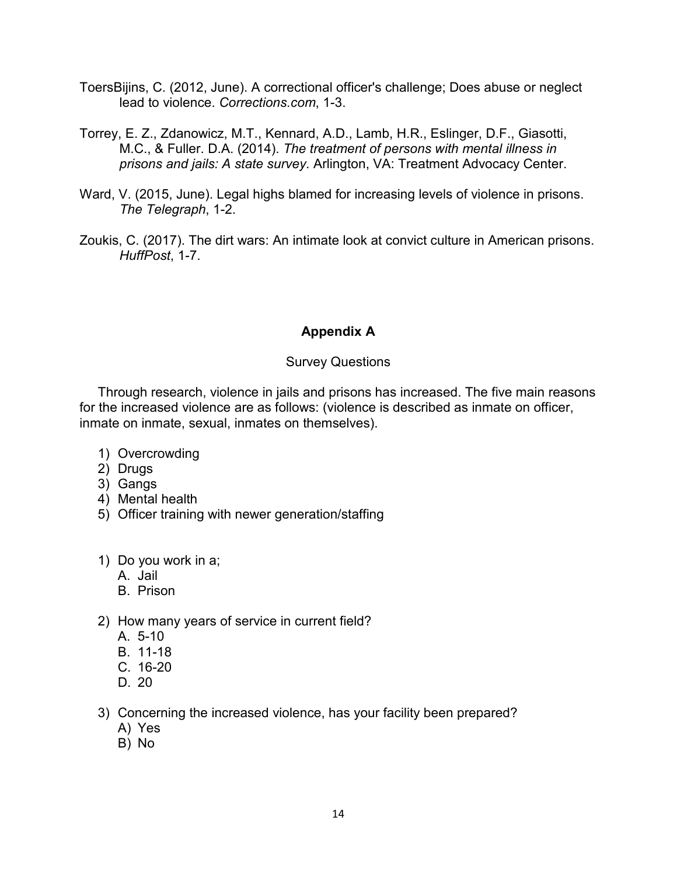- ToersBijins, C. (2012, June). A correctional officer's challenge; Does abuse or neglect lead to violence. *Corrections.com*, 1-3.
- Torrey, E. Z., Zdanowicz, M.T., Kennard, A.D., Lamb, H.R., Eslinger, D.F., Giasotti, M.C., & Fuller. D.A. (2014). *The treatment of persons with mental illness in prisons and jails: A state survey.* Arlington, VA: Treatment Advocacy Center.
- Ward, V. (2015, June). Legal highs blamed for increasing levels of violence in prisons. *The Telegraph*, 1-2.
- Zoukis, C. (2017). The dirt wars: An intimate look at convict culture in American prisons. *HuffPost*, 1-7.

# **Appendix A**

## Survey Questions

Through research, violence in jails and prisons has increased. The five main reasons for the increased violence are as follows: (violence is described as inmate on officer, inmate on inmate, sexual, inmates on themselves).

- 1) Overcrowding
- 2) Drugs
- 3) Gangs
- 4) Mental health
- 5) Officer training with newer generation/staffing
- 1) Do you work in a;
	- A. Jail
	- B. Prison
- 2) How many years of service in current field?
	- A. 5-10
	- B. 11-18
	- C. 16-20
	- D. 20
- 3) Concerning the increased violence, has your facility been prepared?
	- A) Yes
	- B) No